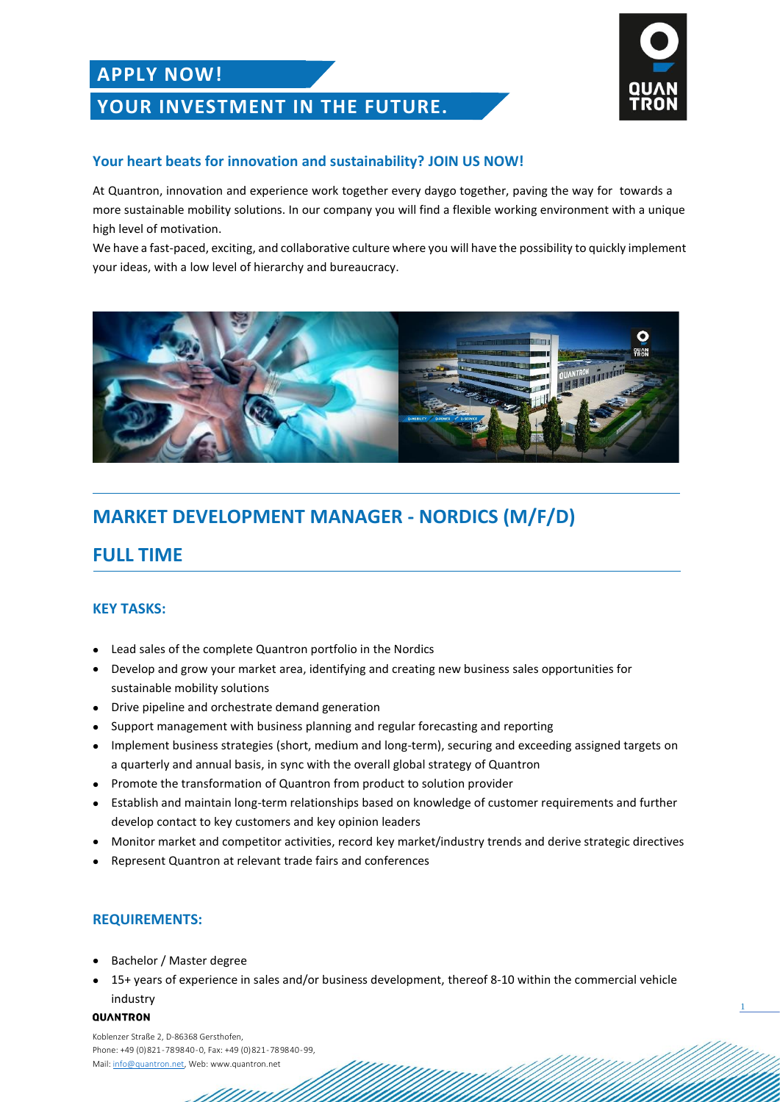## **APPLY NOW!**

## **YOUR INVESTMENT IN THE FUTURE.**



1

### **Your heart beats for innovation and sustainability? JOIN US NOW!**

At Quantron, innovation and experience work together every daygo together, paving the way for towards a more sustainable mobility solutions. In our company you will find a flexible working environment with a unique high level of motivation.

We have a fast-paced, exciting, and collaborative culture where you will have the possibility to quickly implement your ideas, with a low level of hierarchy and bureaucracy.



## **MARKET DEVELOPMENT MANAGER - NORDICS (M/F/D)**

## **FULL TIME**

### **KEY TASKS:**

- Lead sales of the complete Quantron portfolio in the Nordics
- Develop and grow your market area, identifying and creating new business sales opportunities for sustainable mobility solutions
- Drive pipeline and orchestrate demand generation
- Support management with business planning and regular forecasting and reporting
- Implement business strategies (short, medium and long-term), securing and exceeding assigned targets on a quarterly and annual basis, in sync with the overall global strategy of Quantron
- Promote the transformation of Quantron from product to solution provider
- Establish and maintain long-term relationships based on knowledge of customer requirements and further develop contact to key customers and key opinion leaders
- Monitor market and competitor activities, record key market/industry trends and derive strategic directives
- Represent Quantron at relevant trade fairs and conferences

### **REQUIREMENTS:**

- Bachelor / Master degree
- 15+ years of experience in sales and/or business development, thereof 8-10 within the commercial vehicle industry

#### QUANTRON

Koblenzer Straße 2, D-86368 Gersthofen, Phone: +49 (0) 821 - 78 98 40 - 0, Fax: +49 (0) 821 - 78 98 40 - 99, Mail[: info@quantron.net,](mailto:info@quantron.net) Web: www.quantron.net